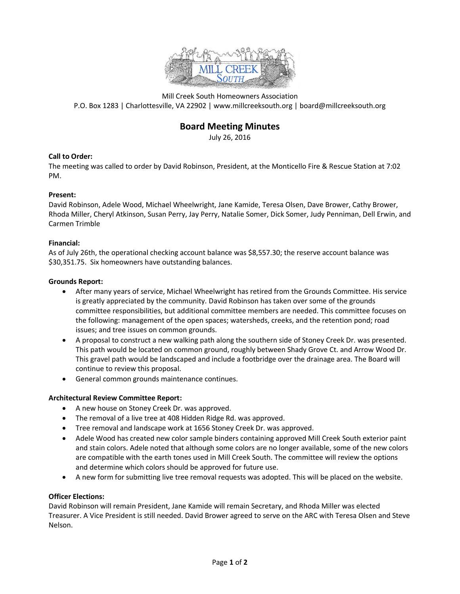

Mill Creek South Homeowners Association P.O. Box 1283 | Charlottesville, VA 22902 | www.millcreeksouth.org | board@millcreeksouth.org

# **Board Meeting Minutes**

July 26, 2016

## **Call to Order:**

The meeting was called to order by David Robinson, President, at the Monticello Fire & Rescue Station at 7:02 PM.

#### **Present:**

David Robinson, Adele Wood, Michael Wheelwright, Jane Kamide, Teresa Olsen, Dave Brower, Cathy Brower, Rhoda Miller, Cheryl Atkinson, Susan Perry, Jay Perry, Natalie Somer, Dick Somer, Judy Penniman, Dell Erwin, and Carmen Trimble

#### **Financial:**

As of July 26th, the operational checking account balance was \$8,557.30; the reserve account balance was \$30,351.75. Six homeowners have outstanding balances.

#### **Grounds Report:**

- After many years of service, Michael Wheelwright has retired from the Grounds Committee. His service is greatly appreciated by the community. David Robinson has taken over some of the grounds committee responsibilities, but additional committee members are needed. This committee focuses on the following: management of the open spaces; watersheds, creeks, and the retention pond; road issues; and tree issues on common grounds.
- A proposal to construct a new walking path along the southern side of Stoney Creek Dr. was presented. This path would be located on common ground, roughly between Shady Grove Ct. and Arrow Wood Dr. This gravel path would be landscaped and include a footbridge over the drainage area. The Board will continue to review this proposal.
- General common grounds maintenance continues.

## **Architectural Review Committee Report:**

- A new house on Stoney Creek Dr. was approved.
- The removal of a live tree at 408 Hidden Ridge Rd. was approved.
- Tree removal and landscape work at 1656 Stoney Creek Dr. was approved.
- Adele Wood has created new color sample binders containing approved Mill Creek South exterior paint and stain colors. Adele noted that although some colors are no longer available, some of the new colors are compatible with the earth tones used in Mill Creek South. The committee will review the options and determine which colors should be approved for future use.
- A new form for submitting live tree removal requests was adopted. This will be placed on the website.

#### **Officer Elections:**

David Robinson will remain President, Jane Kamide will remain Secretary, and Rhoda Miller was elected Treasurer. A Vice President is still needed. David Brower agreed to serve on the ARC with Teresa Olsen and Steve Nelson.